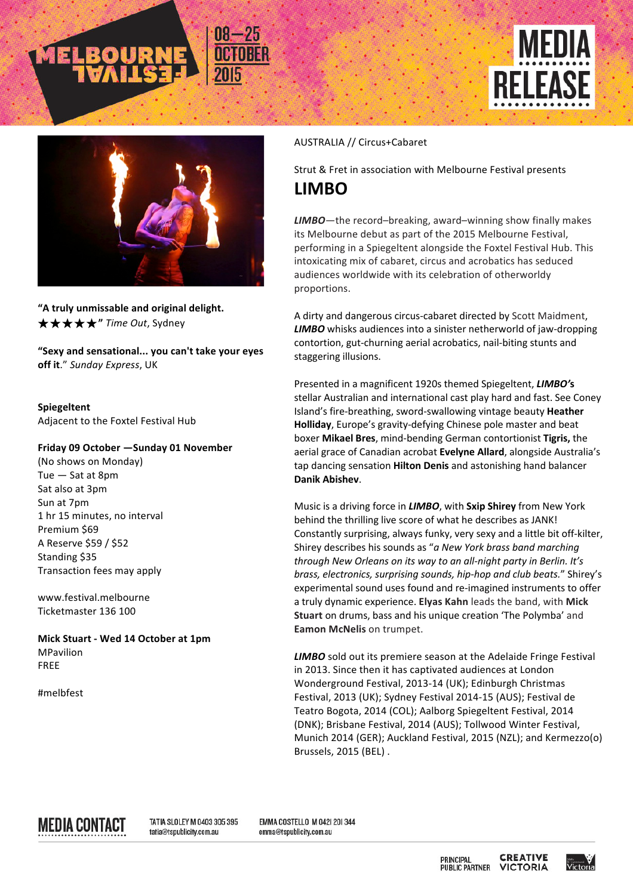





"A truly unmissable and original delight. ★★★★★**"** *Time Out*, Sydney

"Sexy and sensational... you can't take your eyes **off it."** Sunday Express, UK

**Spiegeltent** Adjacent to the Foxtel Festival Hub

## **Friday 09 October —Sunday 01 November**

(No shows on Monday) Tue  $-$  Sat at 8pm Sat also at 3pm Sun at 7pm 1 hr 15 minutes, no interval Premium \$69 A Reserve \$59 / \$52 Standing \$35 Transaction fees may apply

www.festival.melbourne Ticketmaster 136 100

**Mick Stuart - Wed 14 October at 1pm** MPavilion FREE

#melbfest

## AUSTRALIA // Circus+Cabaret

Strut & Fret in association with Melbourne Festival presents **LIMBO**

LIMBO-the record-breaking, award-winning show finally makes its Melbourne debut as part of the 2015 Melbourne Festival, performing in a Spiegeltent alongside the Foxtel Festival Hub. This intoxicating mix of cabaret, circus and acrobatics has seduced audiences worldwide with its celebration of otherworldy proportions.

A dirty and dangerous circus-cabaret directed by Scott Maidment, **LIMBO** whisks audiences into a sinister netherworld of jaw-dropping contortion, gut-churning aerial acrobatics, nail-biting stunts and staggering illusions.

Presented in a magnificent 1920s themed Spiegeltent, **LIMBO's** stellar Australian and international cast play hard and fast. See Coney Island's fire-breathing, sword-swallowing vintage beauty Heather Holliday, Europe's gravity-defying Chinese pole master and beat boxer **Mikael Bres**, mind-bending German contortionist Tigris, the aerial grace of Canadian acrobat **Evelyne Allard**, alongside Australia's tap dancing sensation **Hilton Denis** and astonishing hand balancer **Danik Abishev**.

Music is a driving force in *LIMBO*, with **Sxip Shirey** from New York behind the thrilling live score of what he describes as JANK! Constantly surprising, always funky, very sexy and a little bit off-kilter, Shirey describes his sounds as "a New York brass band marching through New Orleans on its way to an all-night party in Berlin. It's *brass, electronics, surprising sounds, hip-hop and club beats.*" Shirey's experimental sound uses found and re-imagined instruments to offer a truly dynamic experience. Elyas Kahn leads the band, with Mick **Stuart** on drums, bass and his unique creation 'The Polymba' and **Eamon McNelis** on trumpet.

**LIMBO** sold out its premiere season at the Adelaide Fringe Festival in 2013. Since then it has captivated audiences at London Wonderground Festival, 2013-14 (UK); Edinburgh Christmas Festival, 2013 (UK); Sydney Festival 2014-15 (AUS); Festival de Teatro Bogota, 2014 (COL); Aalborg Spiegeltent Festival, 2014 (DNK); Brisbane Festival, 2014 (AUS); Tollwood Winter Festival, Munich 2014 (GER); Auckland Festival, 2015 (NZL); and Kermezzo(o) Brussels, 2015 (BEL).

MEDIA CONTACT

TATIA SLOLEY M 0403 305 395 tatia@tspublicity.com.au

EMMA COSTELLO M 042| 20| 344 emma@tspublicity.com.au